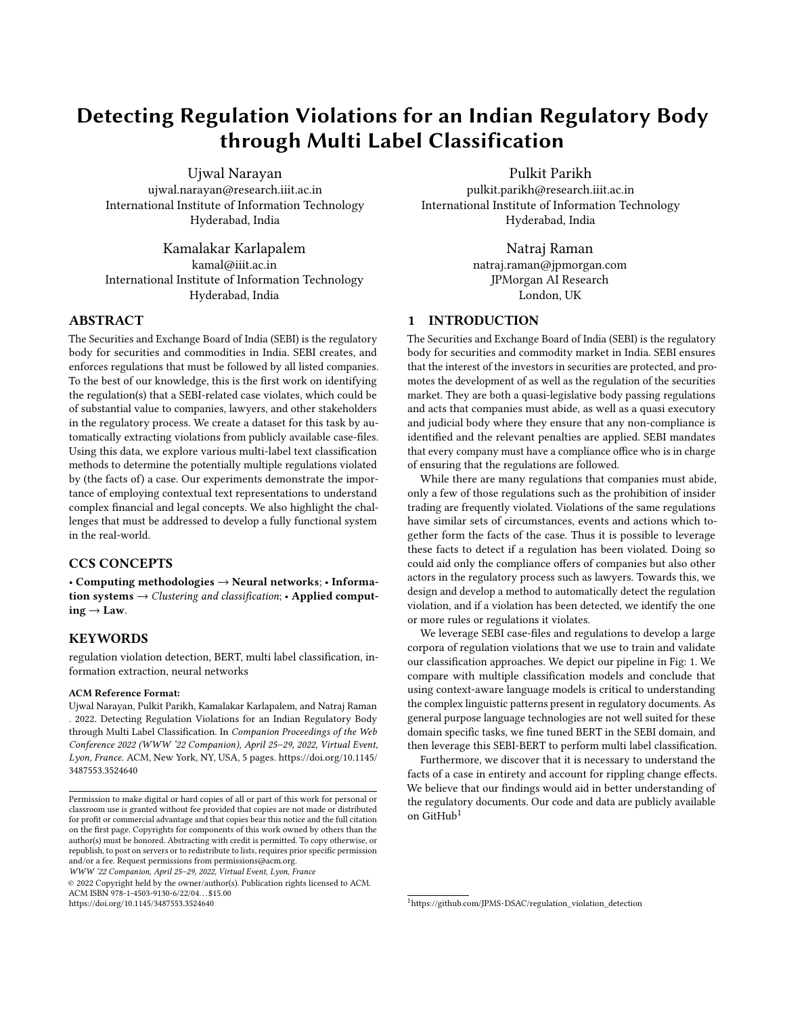# Detecting Regulation Violations for an Indian Regulatory Body through Multi Label Classification

Ujwal Narayan ujwal.narayan@research.iiit.ac.in International Institute of Information Technology Hyderabad, India

Kamalakar Karlapalem kamal@iiit.ac.in International Institute of Information Technology Hyderabad, India

# ABSTRACT

The Securities and Exchange Board of India (SEBI) is the regulatory body for securities and commodities in India. SEBI creates, and enforces regulations that must be followed by all listed companies. To the best of our knowledge, this is the first work on identifying the regulation(s) that a SEBI-related case violates, which could be of substantial value to companies, lawyers, and other stakeholders in the regulatory process. We create a dataset for this task by automatically extracting violations from publicly available case-files. Using this data, we explore various multi-label text classification methods to determine the potentially multiple regulations violated by (the facts of) a case. Our experiments demonstrate the importance of employing contextual text representations to understand complex financial and legal concepts. We also highlight the challenges that must be addressed to develop a fully functional system in the real-world.

# CCS CONCEPTS

• Computing methodologies → Neural networks; • Information systems  $\rightarrow$  Clustering and classification;  $\cdot$  Applied comput $ing \rightarrow Law$ .

#### **KEYWORDS**

regulation violation detection, BERT, multi label classification, information extraction, neural networks

#### ACM Reference Format:

Ujwal Narayan, Pulkit Parikh, Kamalakar Karlapalem, and Natraj Raman . 2022. Detecting Regulation Violations for an Indian Regulatory Body through Multi Label Classification. In Companion Proceedings of the Web Conference 2022 (WWW '22 Companion), April 25–29, 2022, Virtual Event, Lyon, France. ACM, New York, NY, USA, [5](#page-4-0) pages. [https://doi.org/10.1145/](https://doi.org/10.1145/3487553.3524640) [3487553.3524640](https://doi.org/10.1145/3487553.3524640)

WWW '22 Companion, April 25–29, 2022, Virtual Event, Lyon, France

© 2022 Copyright held by the owner/author(s). Publication rights licensed to ACM. ACM ISBN 978-1-4503-9130-6/22/04. . . \$15.00 <https://doi.org/10.1145/3487553.3524640>

Pulkit Parikh

pulkit.parikh@research.iiit.ac.in International Institute of Information Technology Hyderabad, India

> Natraj Raman natraj.raman@jpmorgan.com JPMorgan AI Research London, UK

# 1 INTRODUCTION

The Securities and Exchange Board of India (SEBI) is the regulatory body for securities and commodity market in India. SEBI ensures that the interest of the investors in securities are protected, and promotes the development of as well as the regulation of the securities market. They are both a quasi-legislative body passing regulations and acts that companies must abide, as well as a quasi executory and judicial body where they ensure that any non-compliance is identified and the relevant penalties are applied. SEBI mandates that every company must have a compliance office who is in charge of ensuring that the regulations are followed.

While there are many regulations that companies must abide, only a few of those regulations such as the prohibition of insider trading are frequently violated. Violations of the same regulations have similar sets of circumstances, events and actions which together form the facts of the case. Thus it is possible to leverage these facts to detect if a regulation has been violated. Doing so could aid only the compliance offers of companies but also other actors in the regulatory process such as lawyers. Towards this, we design and develop a method to automatically detect the regulation violation, and if a violation has been detected, we identify the one or more rules or regulations it violates.

We leverage SEBI case-files and regulations to develop a large corpora of regulation violations that we use to train and validate our classification approaches. We depict our pipeline in Fig: [1.](#page-1-0) We compare with multiple classification models and conclude that using context-aware language models is critical to understanding the complex linguistic patterns present in regulatory documents. As general purpose language technologies are not well suited for these domain specific tasks, we fine tuned BERT in the SEBI domain, and then leverage this SEBI-BERT to perform multi label classification.

Furthermore, we discover that it is necessary to understand the facts of a case in entirety and account for rippling change effects. We believe that our findings would aid in better understanding of the regulatory documents. Our code and data are publicly available on GitHub<sup>[1](#page-0-0)</sup>

<span id="page-0-0"></span><sup>1</sup>[https://github.com/JPMS-DSAC/regulation\\_violation\\_detection](https://github.com/JPMS-DSAC/regulation_violation_detection)

Permission to make digital or hard copies of all or part of this work for personal or classroom use is granted without fee provided that copies are not made or distributed for profit or commercial advantage and that copies bear this notice and the full citation on the first page. Copyrights for components of this work owned by others than the author(s) must be honored. Abstracting with credit is permitted. To copy otherwise, or republish, to post on servers or to redistribute to lists, requires prior specific permission and/or a fee. Request permissions from permissions@acm.org.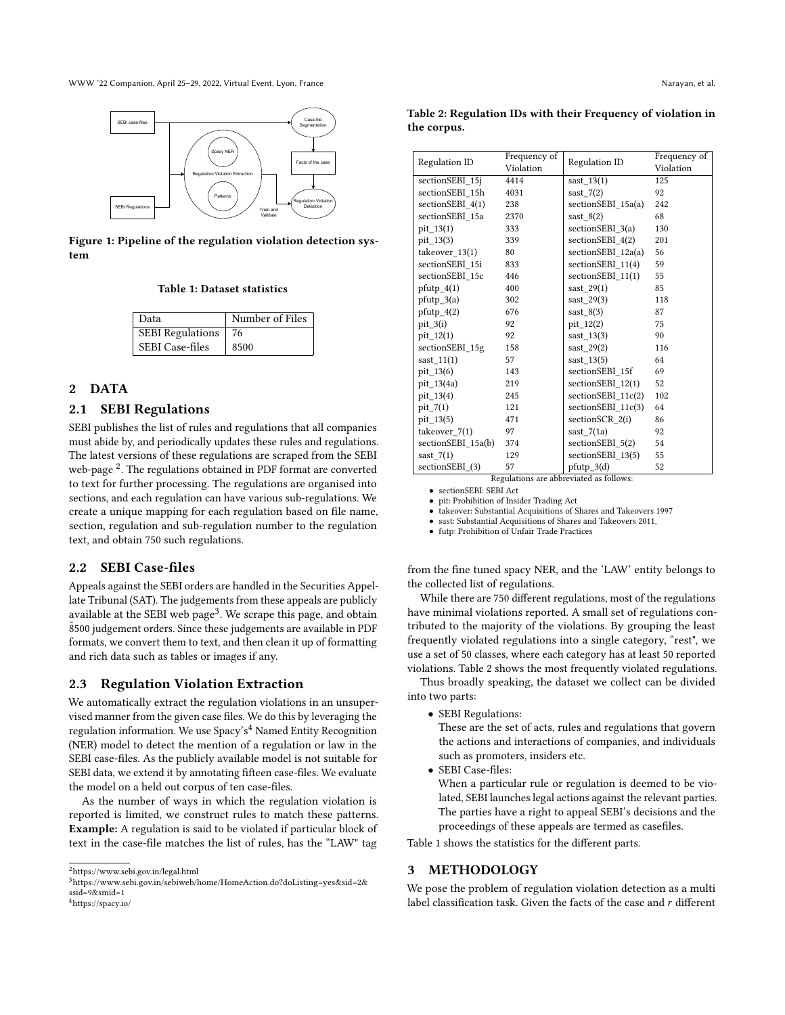<span id="page-1-0"></span>WWW '22 Companion, April 25–29, 2022, Virtual Event, Lyon, France Narayan, et al. Narayan, et al.



<span id="page-1-5"></span>Figure 1: Pipeline of the regulation violation detection system

#### Table 1: Dataset statistics

| Data                    | Number of Files |  |  |
|-------------------------|-----------------|--|--|
| <b>SEBI</b> Regulations | 76              |  |  |
| <b>SEBI</b> Case-files  | 8500            |  |  |

# 2 DATA

## 2.1 SEBI Regulations

SEBI publishes the list of rules and regulations that all companies must abide by, and periodically updates these rules and regulations. The latest versions of these regulations are scraped from the SEBI web-page<sup>[2](#page-1-1)</sup>. The regulations obtained in PDF format are converted to text for further processing. The regulations are organised into sections, and each regulation can have various sub-regulations. We create a unique mapping for each regulation based on file name, section, regulation and sub-regulation number to the regulation text, and obtain 750 such regulations.

#### 2.2 SEBI Case-files

Appeals against the SEBI orders are handled in the Securities Appellate Tribunal (SAT). The judgements from these appeals are publicly available at the SEBI web page<sup>[3](#page-1-2)</sup>. We scrape this page, and obtain 8500 judgement orders. Since these judgements are available in PDF formats, we convert them to text, and then clean it up of formatting and rich data such as tables or images if any.

#### 2.3 Regulation Violation Extraction

We automatically extract the regulation violations in an unsupervised manner from the given case files. We do this by leveraging the regulation information. We use  $Spacy's<sup>4</sup>$  $Spacy's<sup>4</sup>$  $Spacy's<sup>4</sup>$  Named Entity Recognition (NER) model to detect the mention of a regulation or law in the SEBI case-files. As the publicly available model is not suitable for SEBI data, we extend it by annotating fifteen case-files. We evaluate the model on a held out corpus of ten case-files.

As the number of ways in which the regulation violation is reported is limited, we construct rules to match these patterns. Example: A regulation is said to be violated if particular block of text in the case-file matches the list of rules, has the "LAW" tag

<span id="page-1-4"></span>Table 2: Regulation IDs with their Frequency of violation in the corpus.

| Regulation ID      | Frequency of | Regulation ID        | Frequency of |  |
|--------------------|--------------|----------------------|--------------|--|
|                    | Violation    |                      | Violation    |  |
| sectionSEBI_15j    | 4414         | sast $13(1)$         | 125          |  |
| sectionSEBI 15h    | 4031         | sast $7(2)$          | 92           |  |
| sectionSEBI 4(1)   | 238          | sectionSEBI_15a(a)   | 242          |  |
| sectionSEBI 15a    | 2370         | $sast_8(2)$          | 68           |  |
| pit 13(1)          | 333          | sectionSEBI 3(a)     | 130          |  |
| pit_13(3)          | 339          | sectionSEBI 4(2)     | 201          |  |
| takeover $13(1)$   | 80           | sectionSEBI $12a(a)$ | 56           |  |
| sectionSEBI 15i    | 833          | sectionSEBI_11(4)    | 59           |  |
| sectionSEBI 15c    | 446          | sectionSEBI 11(1)    | 55           |  |
| $pfutp_4(1)$       | 400          | sast $29(1)$         | 85           |  |
| $pfutp_3(a)$       | 302          | sast $29(3)$         | 118          |  |
| $pfutp_4(2)$       | 676          | sast $8(3)$          | 87           |  |
| $pit_3(i)$         | 92           | $pit_12(2)$          | 75           |  |
| $pit_12(1)$        | 92           | sast $13(3)$         | 90           |  |
| sectionSEBI 15g    | 158          | sast $29(2)$         | 116          |  |
| sast $11(1)$       | 57           | sast $13(5)$         | 64           |  |
| pit_13(6)          | 143          | sectionSEBI 15f      | 69           |  |
| pit 13(4a)         | 219          | sectionSEBI 12(1)    | 52           |  |
| pit_13(4)          | 245          | sectionSEBI $11c(2)$ | 102          |  |
| $pit_7(1)$         | 121          | sectionSEBI_11c(3)   | 64           |  |
| $pit_13(5)$        | 471          | sectionSCR 2(i)      | 86           |  |
| takeover_7(1)      | 97           | sast $7(1a)$         | 92           |  |
| sectionSEBI 15a(b) | 374          | sectionSEBI 5(2)     | 54           |  |
| sast $7(1)$        | 129          | sectionSEBI 13(5)    | 55           |  |
| sectionSEBI (3)    | 57           | $pfutp_3(d)$         | 52           |  |

Regulations are abbreviated as follows:

• sectionSEBI: SEBI Act

• pit: Prohibition of Insider Trading Act

• takeover: Substantial Acquisitions of Shares and Takeovers 1997

sast: Substantial Acquisitions of Shares and Takeovers 2011, • futp: Prohibition of Unfair Trade Practices

from the fine tuned spacy NER, and the 'LAW' entity belongs to the collected list of regulations.

While there are 750 different regulations, most of the regulations have minimal violations reported. A small set of regulations contributed to the majority of the violations. By grouping the least frequently violated regulations into a single category, "rest", we use a set of 50 classes, where each category has at least 50 reported violations. Table [2](#page-1-4) shows the most frequently violated regulations.

Thus broadly speaking, the dataset we collect can be divided into two parts:

• SEBI Regulations:

These are the set of acts, rules and regulations that govern the actions and interactions of companies, and individuals such as promoters, insiders etc.

• SEBI Case-files:

When a particular rule or regulation is deemed to be violated, SEBI launches legal actions against the relevant parties. The parties have a right to appeal SEBI's decisions and the proceedings of these appeals are termed as casefiles.

Table [1](#page-1-5) shows the statistics for the different parts.

# 3 METHODOLOGY

We pose the problem of regulation violation detection as a multi label classification task. Given the facts of the case and  $r$  different

<span id="page-1-1"></span> $^2$ <https://www.sebi.gov.in/legal.html>

<span id="page-1-3"></span><span id="page-1-2"></span> $^3$ [https://www.sebi.gov.in/sebiweb/home/HomeAction.do?doListing=yes&sid=2&](https://www.sebi.gov.in/sebiweb/home/HomeAction.do?doListing=yes&sid=2&ssid=9&smid=1) [ssid=9&smid=1](https://www.sebi.gov.in/sebiweb/home/HomeAction.do?doListing=yes&sid=2&ssid=9&smid=1) <sup>4</sup><https://spacy.io/>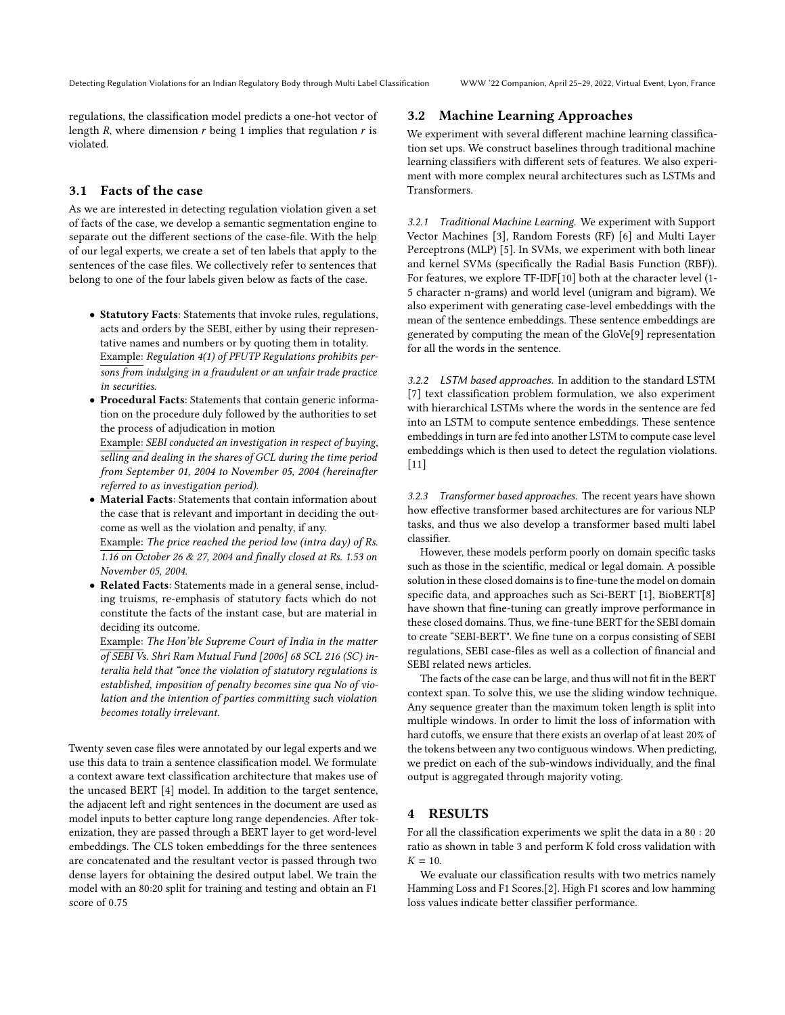regulations, the classification model predicts a one-hot vector of length  $R$ , where dimension  $r$  being 1 implies that regulation  $r$  is violated.

# 3.1 Facts of the case

As we are interested in detecting regulation violation given a set of facts of the case, we develop a semantic segmentation engine to separate out the different sections of the case-file. With the help of our legal experts, we create a set of ten labels that apply to the sentences of the case files. We collectively refer to sentences that belong to one of the four labels given below as facts of the case.

- Statutory Facts: Statements that invoke rules, regulations, acts and orders by the SEBI, either by using their representative names and numbers or by quoting them in totality. Example: Regulation 4(1) of PFUTP Regulations prohibits persons from indulging in a fraudulent or an unfair trade practice in securities.
- Procedural Facts: Statements that contain generic information on the procedure duly followed by the authorities to set the process of adjudication in motion

Example: SEBI conducted an investigation in respect of buying, selling and dealing in the shares of GCL during the time period from September 01, 2004 to November 05, 2004 (hereinafter referred to as investigation period).

• Material Facts: Statements that contain information about the case that is relevant and important in deciding the outcome as well as the violation and penalty, if any.

Example: The price reached the period low (intra day) of Rs. 1.16 on October 26 & 27, 2004 and finally closed at Rs. 1.53 on November 05, 2004.

• Related Facts: Statements made in a general sense, including truisms, re-emphasis of statutory facts which do not constitute the facts of the instant case, but are material in deciding its outcome.

Example: The Hon'ble Supreme Court of India in the matter of SEBI Vs. Shri Ram Mutual Fund [2006] 68 SCL 216 (SC) interalia held that "once the violation of statutory regulations is established, imposition of penalty becomes sine qua No of violation and the intention of parties committing such violation becomes totally irrelevant.

Twenty seven case files were annotated by our legal experts and we use this data to train a sentence classification model. We formulate a context aware text classification architecture that makes use of the uncased BERT [\[4\]](#page-4-1) model. In addition to the target sentence, the adjacent left and right sentences in the document are used as model inputs to better capture long range dependencies. After tokenization, they are passed through a BERT layer to get word-level embeddings. The CLS token embeddings for the three sentences are concatenated and the resultant vector is passed through two dense layers for obtaining the desired output label. We train the model with an 80:20 split for training and testing and obtain an F1 score of 0.75

## 3.2 Machine Learning Approaches

We experiment with several different machine learning classification set ups. We construct baselines through traditional machine learning classifiers with different sets of features. We also experiment with more complex neural architectures such as LSTMs and Transformers.

3.2.1 Traditional Machine Learning. We experiment with Support Vector Machines [\[3\]](#page-4-2), Random Forests (RF) [\[6\]](#page-4-3) and Multi Layer Perceptrons (MLP) [\[5\]](#page-4-4). In SVMs, we experiment with both linear and kernel SVMs (specifically the Radial Basis Function (RBF)). For features, we explore TF-IDF[\[10\]](#page-4-5) both at the character level (1- 5 character n-grams) and world level (unigram and bigram). We also experiment with generating case-level embeddings with the mean of the sentence embeddings. These sentence embeddings are generated by computing the mean of the GloVe[\[9\]](#page-4-6) representation for all the words in the sentence.

3.2.2 LSTM based approaches. In addition to the standard LSTM [\[7\]](#page-4-7) text classification problem formulation, we also experiment with hierarchical LSTMs where the words in the sentence are fed into an LSTM to compute sentence embeddings. These sentence embeddings in turn are fed into another LSTM to compute case level embeddings which is then used to detect the regulation violations. [\[11\]](#page-4-8)

3.2.3 Transformer based approaches. The recent years have shown how effective transformer based architectures are for various NLP tasks, and thus we also develop a transformer based multi label classifier.

However, these models perform poorly on domain specific tasks such as those in the scientific, medical or legal domain. A possible solution in these closed domains is to fine-tune the model on domain specific data, and approaches such as Sci-BERT [\[1\]](#page-4-9), BioBERT[\[8\]](#page-4-10) have shown that fine-tuning can greatly improve performance in these closed domains. Thus, we fine-tune BERT for the SEBI domain to create "SEBI-BERT". We fine tune on a corpus consisting of SEBI regulations, SEBI case-files as well as a collection of financial and SEBI related news articles.

The facts of the case can be large, and thus will not fit in the BERT context span. To solve this, we use the sliding window technique. Any sequence greater than the maximum token length is split into multiple windows. In order to limit the loss of information with hard cutoffs, we ensure that there exists an overlap of at least 20% of the tokens between any two contiguous windows. When predicting, we predict on each of the sub-windows individually, and the final output is aggregated through majority voting.

#### 4 RESULTS

For all the classification experiments we split the data in a 80 : 20 ratio as shown in table [3](#page-3-0) and perform K fold cross validation with  $K = 10.$ 

We evaluate our classification results with two metrics namely Hamming Loss and F1 Scores.[\[2\]](#page-4-11). High F1 scores and low hamming loss values indicate better classifier performance.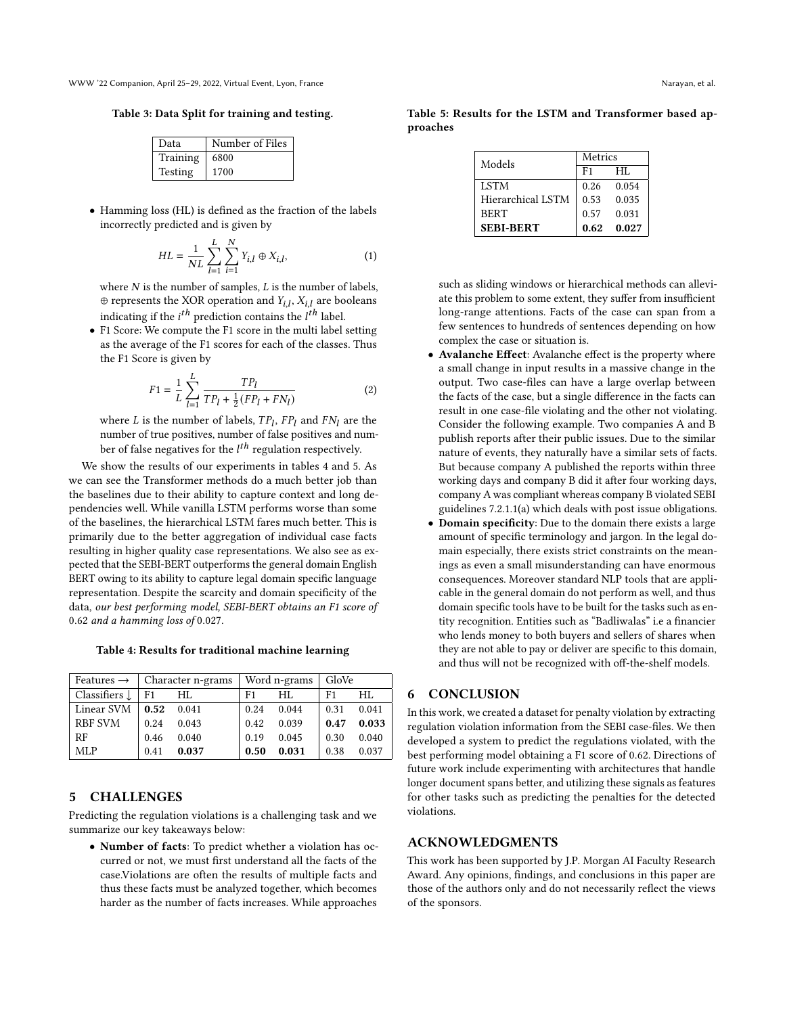<span id="page-3-0"></span>Table 3: Data Split for training and testing.

| Data     | Number of Files |
|----------|-----------------|
| Training | 6800            |
| Testing  | 1700            |

• Hamming loss (HL) is defined as the fraction of the labels incorrectly predicted and is given by

$$
HL = \frac{1}{NL} \sum_{l=1}^{L} \sum_{i=1}^{N} Y_{i,l} \oplus X_{i,l},
$$
 (1)

where  $N$  is the number of samples,  $L$  is the number of labels,  $\oplus$  represents the XOR operation and  $Y_{i,l}$ ,  $X_{i,l}$  are booleans indicating if the  $i^{th}$  prediction contains the  $l^{th}$  label.

• F1 Score: We compute the F1 score in the multi label setting as the average of the F1 scores for each of the classes. Thus the F1 Score is given by

$$
F1 = \frac{1}{L} \sum_{l=1}^{L} \frac{TP_l}{TP_l + \frac{1}{2}(FP_l + FN_l)}
$$
(2)

where L is the number of labels,  $TP_l$ ,  $FP_l$  and  $FN_l$  are the number of true positives, number of false positives and number of false negatives for the  $l^{th}$  regulation respectively.

We show the results of our experiments in tables [4](#page-3-1) and [5.](#page-3-2) As we can see the Transformer methods do a much better job than the baselines due to their ability to capture context and long dependencies well. While vanilla LSTM performs worse than some of the baselines, the hierarchical LSTM fares much better. This is primarily due to the better aggregation of individual case facts resulting in higher quality case representations. We also see as expected that the SEBI-BERT outperforms the general domain English BERT owing to its ability to capture legal domain specific language representation. Despite the scarcity and domain specificity of the data, our best performing model, SEBI-BERT obtains an F1 score of 0.62 and a hamming loss of 0.027.

<span id="page-3-1"></span>Table 4: Results for traditional machine learning

| Features $\rightarrow$ | Character n-grams |       | Word n-grams |       | $\mid$ GloVe |       |
|------------------------|-------------------|-------|--------------|-------|--------------|-------|
| Classifiers L          | F1                | HL.   | F1           | HI.   | F1           | HL.   |
| Linear SVM             | 0.52              | 0.041 | 0.24         | 0.044 | 0.31         | 0.041 |
| <b>RBF SVM</b>         | 0.24              | 0.043 | 0.42         | 0.039 | 0.47         | 0.033 |
| RF                     | 0.46              | 0.040 | 0.19         | 0.045 | 0.30         | 0.040 |
| <b>MLP</b>             | 0.41              | 0.037 | 0.50         | 0.031 | 0.38         | 0.037 |

#### 5 CHALLENGES

Predicting the regulation violations is a challenging task and we summarize our key takeaways below:

• Number of facts: To predict whether a violation has occurred or not, we must first understand all the facts of the case.Violations are often the results of multiple facts and thus these facts must be analyzed together, which becomes harder as the number of facts increases. While approaches

<span id="page-3-2"></span>Table 5: Results for the LSTM and Transformer based approaches

| Models                   | Metrics        |       |  |
|--------------------------|----------------|-------|--|
|                          | F <sub>1</sub> | HI.   |  |
| <b>LSTM</b>              | 0.26           | 0.054 |  |
| <b>Hierarchical LSTM</b> | 0.53           | 0.035 |  |
| <b>BERT</b>              | 0.57           | 0.031 |  |
| <b>SEBI-BERT</b>         | 0.62           | 0.027 |  |

such as sliding windows or hierarchical methods can alleviate this problem to some extent, they suffer from insufficient long-range attentions. Facts of the case can span from a few sentences to hundreds of sentences depending on how complex the case or situation is.

- Avalanche Effect: Avalanche effect is the property where a small change in input results in a massive change in the output. Two case-files can have a large overlap between the facts of the case, but a single difference in the facts can result in one case-file violating and the other not violating. Consider the following example. Two companies A and B publish reports after their public issues. Due to the similar nature of events, they naturally have a similar sets of facts. But because company A published the reports within three working days and company B did it after four working days, company A was compliant whereas company B violated SEBI guidelines 7.2.1.1(a) which deals with post issue obligations.
- Domain specificity: Due to the domain there exists a large amount of specific terminology and jargon. In the legal domain especially, there exists strict constraints on the meanings as even a small misunderstanding can have enormous consequences. Moreover standard NLP tools that are applicable in the general domain do not perform as well, and thus domain specific tools have to be built for the tasks such as entity recognition. Entities such as "Badliwalas" i.e a financier who lends money to both buyers and sellers of shares when they are not able to pay or deliver are specific to this domain, and thus will not be recognized with off-the-shelf models.

## 6 CONCLUSION

In this work, we created a dataset for penalty violation by extracting regulation violation information from the SEBI case-files. We then developed a system to predict the regulations violated, with the best performing model obtaining a F1 score of 0.62. Directions of future work include experimenting with architectures that handle longer document spans better, and utilizing these signals as features for other tasks such as predicting the penalties for the detected violations.

#### ACKNOWLEDGMENTS

This work has been supported by J.P. Morgan AI Faculty Research Award. Any opinions, findings, and conclusions in this paper are those of the authors only and do not necessarily reflect the views of the sponsors.